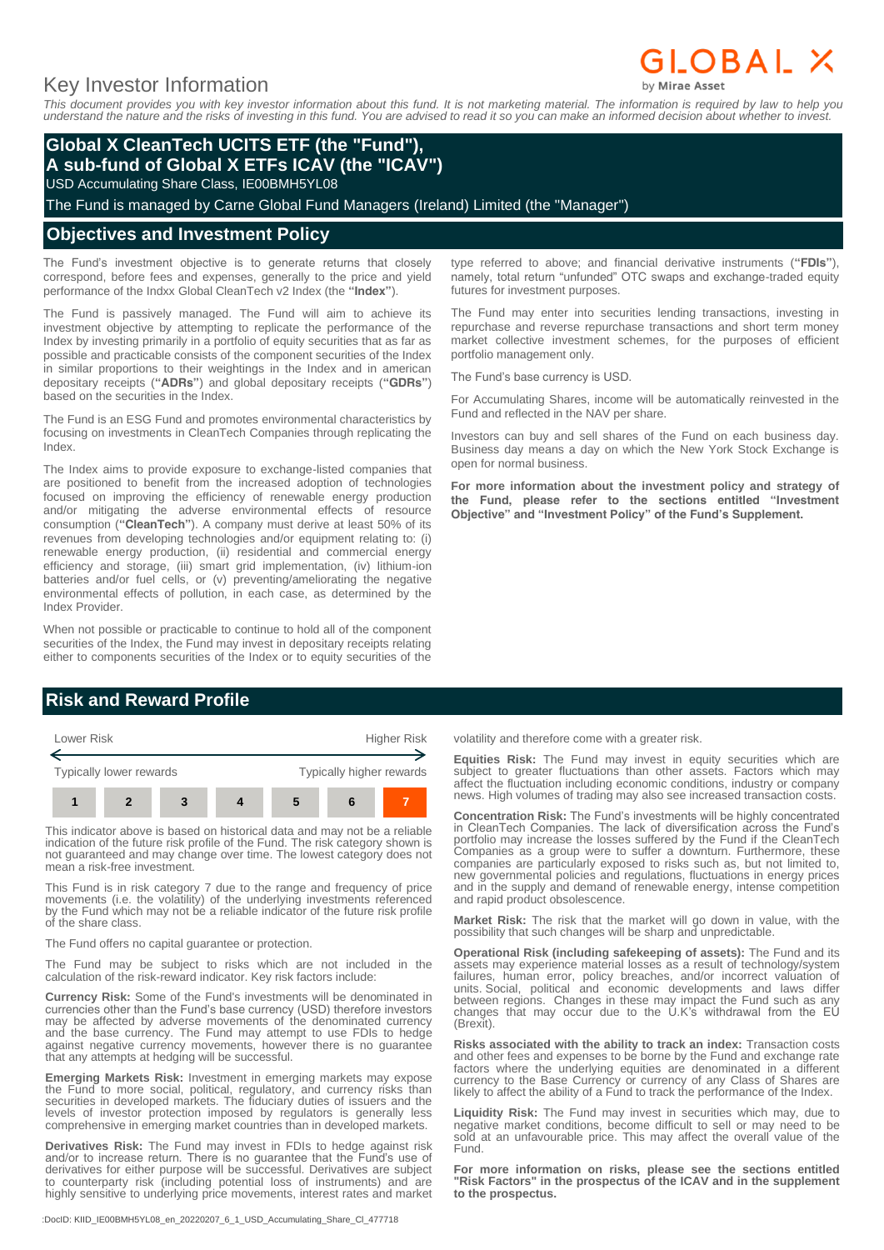# Key Investor Information

GLOBAL X

*This document provides you with key investor information about this fund. It is not marketing material. The information is required by law to help you understand the nature and the risks of investing in this fund. You are advised to read it so you can make an informed decision about whether to invest.*

## **Global X CleanTech UCITS ETF (the "Fund"), A sub-fund of Global X ETFs ICAV (the "ICAV")**

USD Accumulating Share Class, IE00BMH5YL08

The Fund is managed by Carne Global Fund Managers (Ireland) Limited (the "Manager")

### **Objectives and Investment Policy**

The Fund's investment objective is to generate returns that closely correspond, before fees and expenses, generally to the price and yield performance of the Indxx Global CleanTech v2 Index (the **"Index"**).

The Fund is passively managed. The Fund will aim to achieve its investment objective by attempting to replicate the performance of the Index by investing primarily in a portfolio of equity securities that as far as possible and practicable consists of the component securities of the Index in similar proportions to their weightings in the Index and in american depositary receipts (**"ADRs"**) and global depositary receipts (**"GDRs"**) based on the securities in the Index.

The Fund is an ESG Fund and promotes environmental characteristics by focusing on investments in CleanTech Companies through replicating the Index.

The Index aims to provide exposure to exchange-listed companies that are positioned to benefit from the increased adoption of technologies focused on improving the efficiency of renewable energy production and/or mitigating the adverse environmental effects of resource consumption (**"CleanTech"**). A company must derive at least 50% of its revenues from developing technologies and/or equipment relating to: (i) renewable energy production, (ii) residential and commercial energy efficiency and storage, (iii) smart grid implementation, (iv) lithium-ion batteries and/or fuel cells, or (v) preventing/ameliorating the negative environmental effects of pollution, in each case, as determined by the Index Provider.

When not possible or practicable to continue to hold all of the component securities of the Index, the Fund may invest in depositary receipts relating either to components securities of the Index or to equity securities of the

# **Risk and Reward Profile**



This indicator above is based on historical data and may not be a reliable indication of the future risk profile of the Fund. The risk category shown is not guaranteed and may change over time. The lowest category does not mean a risk-free investment.

This Fund is in risk category 7 due to the range and frequency of price movements (i.e. the volatility) of the underlying investments referenced by the Fund which may not be a reliable indicator of the future risk profile of the share class.

The Fund offers no capital guarantee or protection.

The Fund may be subject to risks which are not included in the calculation of the risk-reward indicator. Key risk factors include:

**Currency Risk:** Some of the Fund's investments will be denominated in currencies other than the Fund's base currency (USD) therefore investors may be affected by adverse movements of the denominated currency and the base currency. The Fund may attempt to use FDIs to hedge against negative currency movements, however there is no guarantee that any attempts at hedging will be successful.

**Emerging Markets Risk:** Investment in emerging markets may expose the Fund to more social, political, regulatory, and currency risks than securities in developed markets. The fiduciary duties of issuers and the levels of investor protection imposed by regulators is generally less comprehensive in emerging market countries than in developed markets.

**Derivatives Risk:** The Fund may invest in FDIs to hedge against risk and/or to increase return. There is no guarantee that the Fund's use of derivatives for either purpose will be successful. Derivatives are subject to counterparty risk (including potential loss of instruments) and are highly sensitive to underlying price movements, interest rates and market

:DocID: KIID\_IE00BMH5YL08\_en\_20220207\_6\_1\_USD\_Accumulating\_Share\_Cl\_477718

type referred to above; and financial derivative instruments (**"FDIs"**), namely, total return "unfunded" OTC swaps and exchange-traded equity futures for investment purposes.

The Fund may enter into securities lending transactions, investing in repurchase and reverse repurchase transactions and short term money market collective investment schemes, for the purposes of efficient portfolio management only.

The Fund's base currency is USD.

For Accumulating Shares, income will be automatically reinvested in the Fund and reflected in the NAV per share.

Investors can buy and sell shares of the Fund on each business day. Business day means a day on which the New York Stock Exchange is open for normal business.

**For more information about the investment policy and strategy of the Fund, please refer to the sections entitled "Investment Objective" and "Investment Policy" of the Fund's Supplement.**

volatility and therefore come with a greater risk.

**Equities Risk:** The Fund may invest in equity securities which are subject to greater fluctuations than other assets. Factors which may affect the fluctuation including economic conditions, industry or company news. High volumes of trading may also see increased transaction costs.

**Concentration Risk:** The Fund's investments will be highly concentrated in CleanTech Companies. The lack of diversification across the Fund's portfolio may increase the losses suffered by the Fund if the CleanTech Companies as a group were to suffer a downturn. Furthermore, these companies are particularly exposed to risks such as, but not limited to, new governmental policies and regulations, fluctuations in energy prices and in the supply and demand of renewable energy, intense competition and rapid product obsolescence.

**Market Risk:** The risk that the market will go down in value, with the possibility that such changes will be sharp and unpredictable.

**Operational Risk (including safekeeping of assets):** The Fund and its assets may experience material losses as a result of technology/system failures, human error, policy breaches, and/or incorrect valuation of units. Social, political and economic developments and laws differ between regions. Changes in these may impact the Fund such as any changes that may occur due to the U.K's withdrawal from the EU (Brexit).

**Risks associated with the ability to track an index:** Transaction costs and other fees and expenses to be borne by the Fund and exchange rate factors where the underlying equities are denominated in a different currency to the Base Currency or currency of any Class of Shares are likely to affect the ability of a Fund to track the performance of the Index.

**Liquidity Risk:** The Fund may invest in securities which may, due to negative market conditions, become difficult to sell or may need to be sold at an unfavourable price. This may affect the overall value of the Fund.

**For more information on risks, please see the sections entitled "Risk Factors" in the prospectus of the ICAV and in the supplement to the prospectus.**